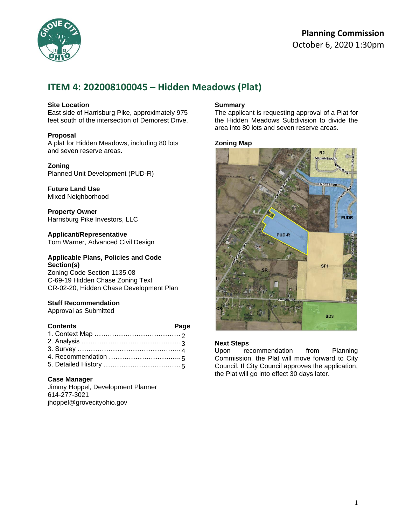

## **Planning Commission**  October 6, 2020 1:30pm

# **ITEM 4: 202008100045 – Hidden Meadows (Plat)**

#### **Site Location**

East side of Harrisburg Pike, approximately 975 feet south of the intersection of Demorest Drive.

#### **Proposal**

A plat for Hidden Meadows, including 80 lots and seven reserve areas.

#### **Zoning**

Planned Unit Development (PUD-R)

**Future Land Use** Mixed Neighborhood

**Property Owner** Harrisburg Pike Investors, LLC

**Applicant/Representative** Tom Warner, Advanced Civil Design

#### **Applicable Plans, Policies and Code Section(s)**

Zoning Code Section 1135.08 C-69-19 Hidden Chase Zoning Text CR-02-20, Hidden Chase Development Plan

#### **Staff Recommendation**

Approval as Submitted

#### **Contents Page**

#### **Case Manager**

Jimmy Hoppel, Development Planner 614-277-3021 jhoppel@grovecityohio.gov

#### **Summary**

The applicant is requesting approval of a Plat for the Hidden Meadows Subdivision to divide the area into 80 lots and seven reserve areas.

#### **Zoning Map**



#### **Next Steps**

Upon recommendation from Planning Commission, the Plat will move forward to City Council. If City Council approves the application, the Plat will go into effect 30 days later.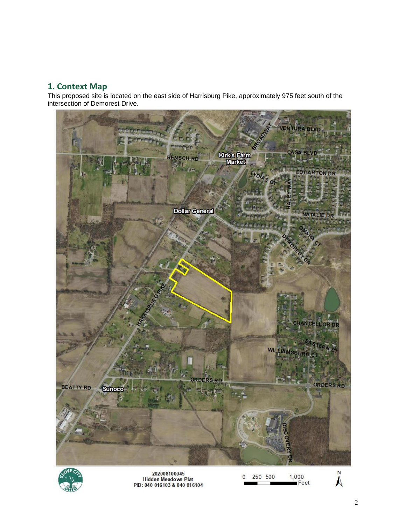### **1. Context Map**

This proposed site is located on the east side of Harrisburg Pike, approximately 975 feet south of the intersection of Demorest Drive.





202008100045<br>Hidden Meadows Plat<br>PID: 040-016103 & 040-016104

 $1,000$ <br>Feet 250 500  $\overline{0}$ 

 $\sum_{z}$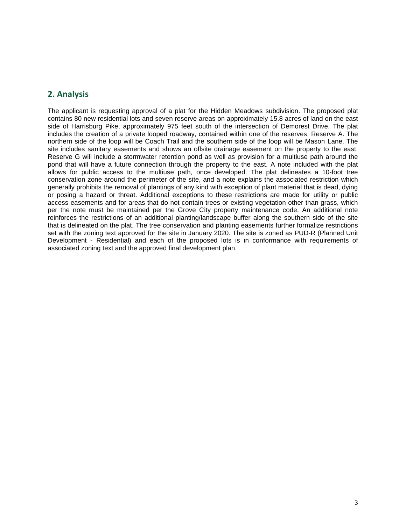### **2. Analysis**

The applicant is requesting approval of a plat for the Hidden Meadows subdivision. The proposed plat contains 80 new residential lots and seven reserve areas on approximately 15.8 acres of land on the east side of Harrisburg Pike, approximately 975 feet south of the intersection of Demorest Drive. The plat includes the creation of a private looped roadway, contained within one of the reserves, Reserve A. The northern side of the loop will be Coach Trail and the southern side of the loop will be Mason Lane. The site includes sanitary easements and shows an offsite drainage easement on the property to the east. Reserve G will include a stormwater retention pond as well as provision for a multiuse path around the pond that will have a future connection through the property to the east. A note included with the plat allows for public access to the multiuse path, once developed. The plat delineates a 10-foot tree conservation zone around the perimeter of the site, and a note explains the associated restriction which generally prohibits the removal of plantings of any kind with exception of plant material that is dead, dying or posing a hazard or threat. Additional exceptions to these restrictions are made for utility or public access easements and for areas that do not contain trees or existing vegetation other than grass, which per the note must be maintained per the Grove City property maintenance code. An additional note reinforces the restrictions of an additional planting/landscape buffer along the southern side of the site that is delineated on the plat. The tree conservation and planting easements further formalize restrictions set with the zoning text approved for the site in January 2020. The site is zoned as PUD-R (Planned Unit Development - Residential) and each of the proposed lots is in conformance with requirements of associated zoning text and the approved final development plan.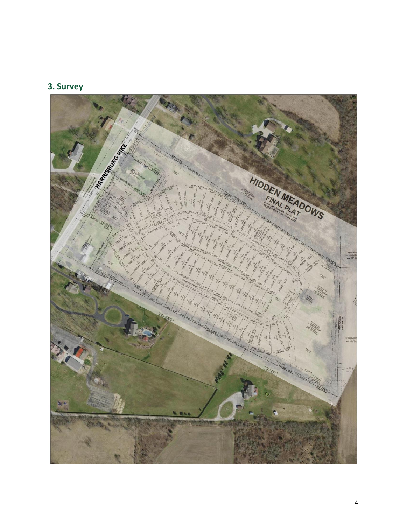# **3. Survey**